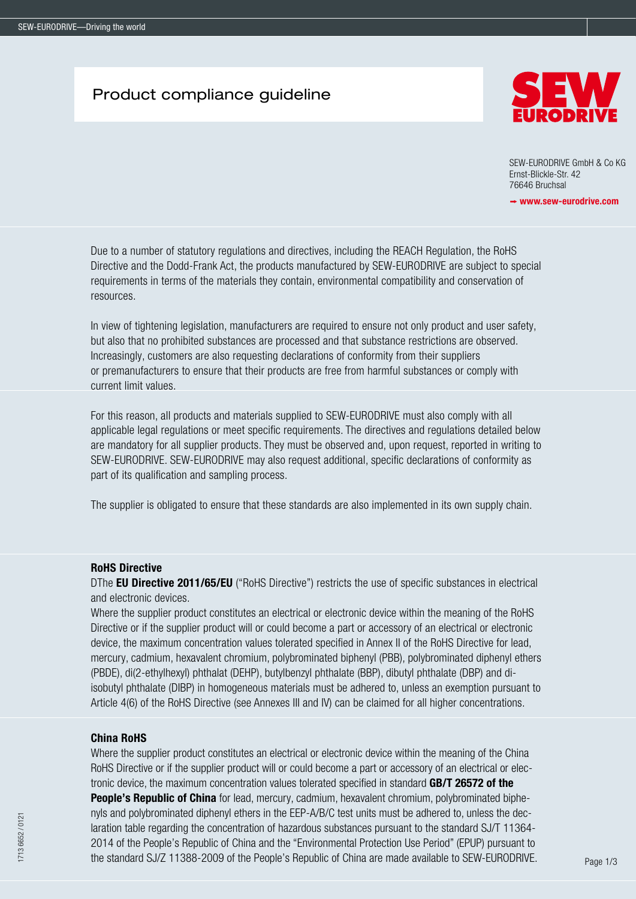## Product compliance guideline



SEW-EURODRIVE GmbH & Co KG Ernst-Blickle-Str. 42 76646 Bruchsal

 $\rightarrow$  www.sew-eurodrive.com

Due to a number of statutory regulations and directives, including the REACH Regulation, the RoHS Directive and the Dodd-Frank Act, the products manufactured by SEW-EURODRIVE are subject to special requirements in terms of the materials they contain, environmental compatibility and conservation of resources.

In view of tightening legislation, manufacturers are required to ensure not only product and user safety, but also that no prohibited substances are processed and that substance restrictions are observed. Increasingly, customers are also requesting declarations of conformity from their suppliers or premanufacturers to ensure that their products are free from harmful substances or comply with current limit values.

For this reason, all products and materials supplied to SEW-EURODRIVE must also comply with all applicable legal regulations or meet specific requirements. The directives and regulations detailed below are mandatory for all supplier products. They must be observed and, upon request, reported in writing to SEW-EURODRIVE. SEW-EURODRIVE may also request additional, specific declarations of conformity as part of its qualification and sampling process.

The supplier is obligated to ensure that these standards are also implemented in its own supply chain.

### RoHS Directive

DThe **EU Directive 2011/65/EU** ("RoHS Directive") restricts the use of specific substances in electrical and electronic devices.

Where the supplier product constitutes an electrical or electronic device within the meaning of the RoHS Directive or if the supplier product will or could become a part or accessory of an electrical or electronic device, the maximum concentration values tolerated specified in Annex II of the RoHS Directive for lead, mercury, cadmium, hexavalent chromium, polybrominated biphenyl (PBB), polybrominated diphenyl ethers (PBDE), di(2-ethylhexyl) phthalat (DEHP), butylbenzyl phthalate (BBP), dibutyl phthalate (DBP) and diisobutyl phthalate (DIBP) in homogeneous materials must be adhered to, unless an exemption pursuant to Article 4(6) of the RoHS Directive (see Annexes III and IV) can be claimed for all higher concentrations.

## China RoHS

Where the supplier product constitutes an electrical or electronic device within the meaning of the China RoHS Directive or if the supplier product will or could become a part or accessory of an electrical or electronic device, the maximum concentration values tolerated specified in standard GB/T 26572 of the People's Republic of China for lead, mercury, cadmium, hexavalent chromium, polybrominated biphenyls and polybrominated diphenyl ethers in the EEP-A/B/C test units must be adhered to, unless the declaration table regarding the concentration of hazardous substances pursuant to the standard SJ/T 11364- 2014 of the People's Republic of China and the "Environmental Protection Use Period" (EPUP) pursuant to the standard SJ/Z 11388-2009 of the People's Republic of China are made available to SEW-EURODRIVE.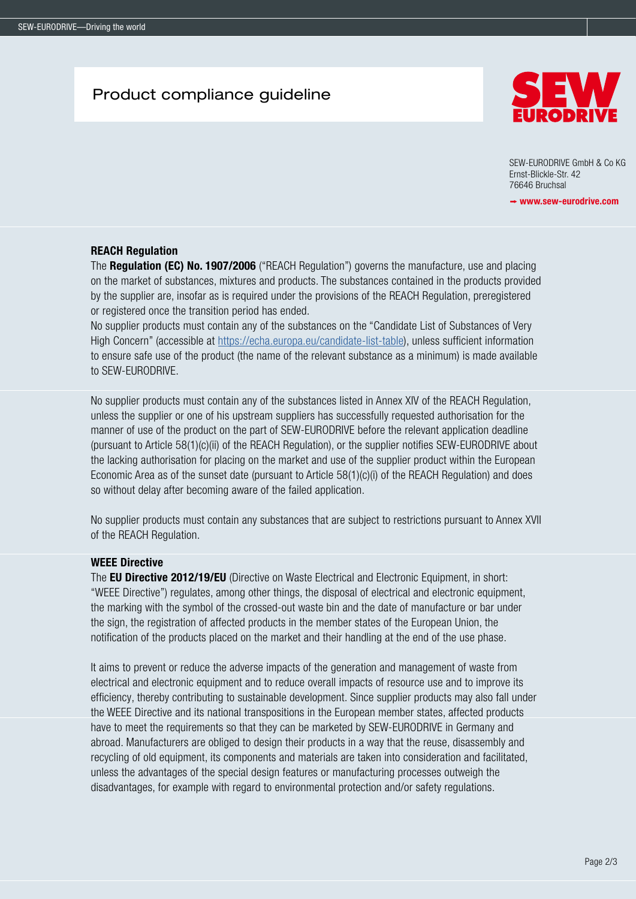# Product compliance guideline



SEW-EURODRIVE GmbH & Co KG Ernst-Blickle-Str. 42 76646 Bruchsal

 $\rightarrow$  www.sew-eurodrive.com

### REACH Regulation

The **Regulation (EC) No. 1907/2006** ("REACH Regulation") governs the manufacture, use and placing on the market of substances, mixtures and products. The substances contained in the products provided by the supplier are, insofar as is required under the provisions of the REACH Regulation, preregistered or registered once the transition period has ended.

No supplier products must contain any of the substances on the "Candidate List of Substances of Very High Concern" (accessible at [https://echa.europa.eu/candidate-list-table\)](https://echa.europa.eu/candidate-list-table), unless sufficient information to ensure safe use of the product (the name of the relevant substance as a minimum) is made available to SEW-EURODRIVE.

No supplier products must contain any of the substances listed in Annex XIV of the REACH Regulation, unless the supplier or one of his upstream suppliers has successfully requested authorisation for the manner of use of the product on the part of SEW-EURODRIVE before the relevant application deadline (pursuant to Article 58(1)(c)(ii) of the REACH Regulation), or the supplier notifies SEW-EURODRIVE about the lacking authorisation for placing on the market and use of the supplier product within the European Economic Area as of the sunset date (pursuant to Article 58(1)(c)(i) of the REACH Regulation) and does so without delay after becoming aware of the failed application.

No supplier products must contain any substances that are subject to restrictions pursuant to Annex XVII of the REACH Regulation.

## WEEE Directive

The **EU Directive 2012/19/EU** (Directive on Waste Electrical and Electronic Equipment, in short: "WEEE Directive") regulates, among other things, the disposal of electrical and electronic equipment, the marking with the symbol of the crossed-out waste bin and the date of manufacture or bar under the sign, the registration of affected products in the member states of the European Union, the notification of the products placed on the market and their handling at the end of the use phase.

It aims to prevent or reduce the adverse impacts of the generation and management of waste from electrical and electronic equipment and to reduce overall impacts of resource use and to improve its efficiency, thereby contributing to sustainable development. Since supplier products may also fall under the WEEE Directive and its national transpositions in the European member states, affected products have to meet the requirements so that they can be marketed by SEW-EURODRIVE in Germany and abroad. Manufacturers are obliged to design their products in a way that the reuse, disassembly and recycling of old equipment, its components and materials are taken into consideration and facilitated, unless the advantages of the special design features or manufacturing processes outweigh the disadvantages, for example with regard to environmental protection and/or safety regulations.